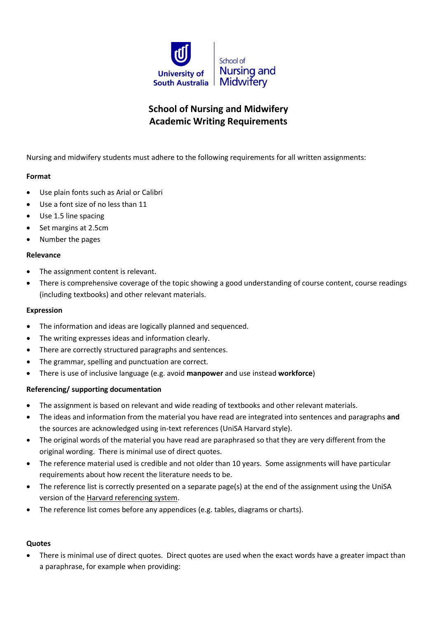

# **School of Nursing and Midwifery Academic Writing Requirements**

Nursing and midwifery students must adhere to the following requirements for all written assignments:

## **Format**

- Use plain fonts such as Arial or Calibri
- Use a font size of no less than 11
- Use 1.5 line spacing
- Set margins at 2.5cm
- Number the pages

### **Relevance**

- The assignment content is relevant.
- There is comprehensive coverage of the topic showing a good understanding of course content, course readings (including textbooks) and other relevant materials.

### **Expression**

- The information and ideas are logically planned and sequenced.
- The writing expresses ideas and information clearly.
- There are correctly structured paragraphs and sentences.
- The grammar, spelling and punctuation are correct.
- There is use of inclusive language (e.g. avoid **manpower** and use instead **workforce**)

### **Referencing/ supporting documentation**

- The assignment is based on relevant and wide reading of textbooks and other relevant materials.
- The ideas and information from the material you have read are integrated into sentences and paragraphs **and** the sources are acknowledged using in-text references (UniSA Harvard style).
- The original words of the material you have read are paraphrased so that they are very different from the original wording. There is minimal use of direct quotes.
- The reference material used is credible and not older than 10 years. Some assignments will have particular requirements about how recent the literature needs to be.
- The reference list is correctly presented on a separate page(s) at the end of the assignment using the UniSA version of the [Harvard referencing system.](http://www.unisa.edu.au/ltu/students/study/referencing/harvard.pdf)
- The reference list comes before any appendices (e.g. tables, diagrams or charts).

### **Quotes**

 There is minimal use of direct quotes. Direct quotes are used when the exact words have a greater impact than a paraphrase, for example when providing: